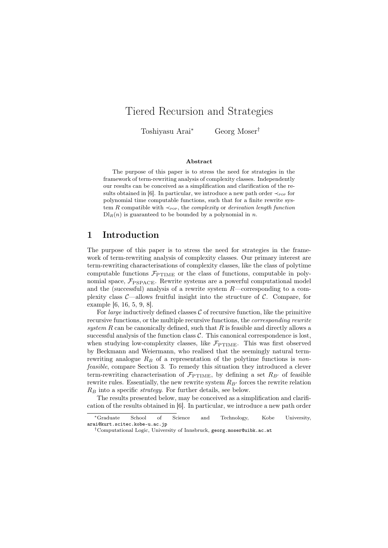# Tiered Recursion and Strategies

Toshiyasu Arai<sup>∗</sup> Georg Moser†

#### Abstract

The purpose of this paper is to stress the need for strategies in the framework of term-rewriting analysis of complexity classes. Independently our results can be conceived as a simplification and clarification of the results obtained in [6]. In particular, we introduce a new path order  $\prec_{\text{pop}}$  for polynomial time computable functions, such that for a finite rewrite system R compatible with  $\prec_{\text{pop}}$ , the *complexity* or *derivation length function*  $\text{Dl}_R(n)$  is guaranteed to be bounded by a polynomial in n.

### 1 Introduction

The purpose of this paper is to stress the need for strategies in the framework of term-rewriting analysis of complexity classes. Our primary interest are term-rewriting characterisations of complexity classes, like the class of polytime computable functions  $\mathcal{F}_{\text{PTIME}}$  or the class of functions, computable in polynomial space,  $\mathcal{F}_{PSPACE}$ . Rewrite systems are a powerful computational model and the (successful) analysis of a rewrite system R—corresponding to a complexity class  $\mathcal{C}-$ allows fruitful insight into the structure of  $\mathcal{C}$ . Compare, for example [6, 16, 5, 9, 8].

For *large* inductively defined classes  $C$  of recursive function, like the primitive recursive functions, or the multiple recursive functions, the corresponding rewrite system  $R$  can be canonically defined, such that  $R$  is feasible and directly allows a successful analysis of the function class  $C$ . This canonical correspondence is lost. when studying low-complexity classes, like  $\mathcal{F}_{\text{PTIME}}$ . This was first observed by Beckmann and Weiermann, who realised that the seemingly natural termrewriting analogue  $R_B$  of a representation of the polytime functions is nonfeasible, compare Section 3. To remedy this situation they introduced a clever term-rewriting characterisation of  $\mathcal{F}_{\text{PTIME}}$ , by defining a set  $R_{B'}$  of feasible rewrite rules. Essentially, the new rewrite system  $R_{B'}$  forces the rewrite relation  $R_B$  into a specific *strategy*. For further details, see below.

The results presented below, may be conceived as a simplification and clarification of the results obtained in [6]. In particular, we introduce a new path order

<sup>∗</sup>Graduate School of Science and Technology, Kobe University, arai@kurt.scitec.kobe-u.ac.jp

<sup>†</sup>Computational Logic, University of Innsbruck, georg.moser@uibk.ac.at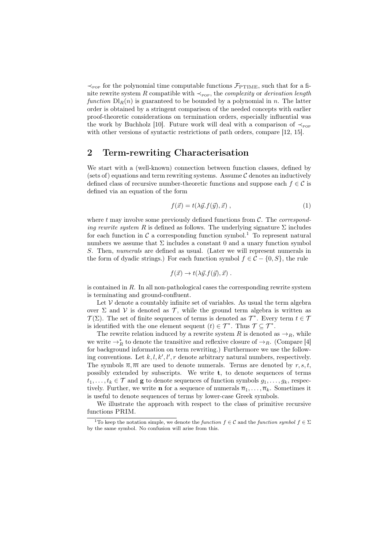$\prec_{\text{pop}}$  for the polynomial time computable functions  $\mathcal{F}_{\text{PTIME}}$ , such that for a finite rewrite system R compatible with  $\prec_{\text{pop}}$ , the *complexity* or *derivation length* function  $D\mathcal{L}(n)$  is guaranteed to be bounded by a polynomial in n. The latter order is obtained by a stringent comparison of the needed concepts with earlier proof-theoretic considerations on termination orders, especially influential was the work by Buchholz [10]. Future work will deal with a comparison of  $\prec_{\text{pop}}$ with other versions of syntactic restrictions of path orders, compare [12, 15].

## 2 Term-rewriting Characterisation

We start with a (well-known) connection between function classes, defined by (sets of) equations and term rewriting systems. Assume  $\mathcal C$  denotes an inductively defined class of recursive number-theoretic functions and suppose each  $f \in \mathcal{C}$  is defined via an equation of the form

$$
f(\vec{x}) = t(\lambda \vec{y} \cdot f(\vec{y}), \vec{x}) \tag{1}
$$

where  $t$  may involve some previously defined functions from  $C$ . The *correspond*ing rewrite system R is defined as follows. The underlying signature  $\Sigma$  includes for each function in  $\mathcal C$  a corresponding function symbol.<sup>1</sup> To represent natural numbers we assume that  $\Sigma$  includes a constant 0 and a unary function symbol S. Then, numerals are defined as usual. (Later we will represent numerals in the form of dyadic strings.) For each function symbol  $f \in \mathcal{C} - \{0, S\}$ , the rule

$$
f(\vec{x}) \to t(\lambda \vec{y}. f(\vec{y}), \vec{x}).
$$

is contained in  $R$ . In all non-pathological cases the corresponding rewrite system is terminating and ground-confluent.

Let  $V$  denote a countably infinite set of variables. As usual the term algebra over  $\Sigma$  and  $V$  is denoted as  $\mathcal{T}$ , while the ground term algebra is written as  $\mathcal{T}(\Sigma)$ . The set of finite sequences of terms is denoted as  $\mathcal{T}^*$ . Every term  $t \in \mathcal{T}$ is identified with the one element sequent  $(t) \in \mathcal{T}^*$ . Thus  $\mathcal{T} \subseteq \mathcal{T}^*$ .

The rewrite relation induced by a rewrite system R is denoted as  $\rightarrow_R$ , while we write  $\rightarrow_R^*$  to denote the transitive and reflexive closure of  $\rightarrow_R$ . (Compare [4] for background information on term rewriting.) Furthermore we use the following conventions. Let  $k, l, k', l', r$  denote arbitrary natural numbers, respectively. The symbols  $\overline{n}, \overline{m}$  are used to denote numerals. Terms are denoted by r, s, t, possibly extended by subscripts. We write t, to denote sequences of terms  $t_1, \ldots, t_k \in \mathcal{T}$  and **g** to denote sequences of function symbols  $g_1, \ldots, g_k$ , respectively. Further, we write **n** for a sequence of numerals  $\overline{n}_1, \ldots, \overline{n}_k$ . Sometimes it is useful to denote sequences of terms by lower-case Greek symbols.

We illustrate the approach with respect to the class of primitive recursive functions PRIM.

<sup>&</sup>lt;sup>1</sup>To keep the notation simple, we denote the *function*  $f \in \mathcal{C}$  and the *function symbol*  $f \in \Sigma$ by the same symbol. No confusion will arise from this.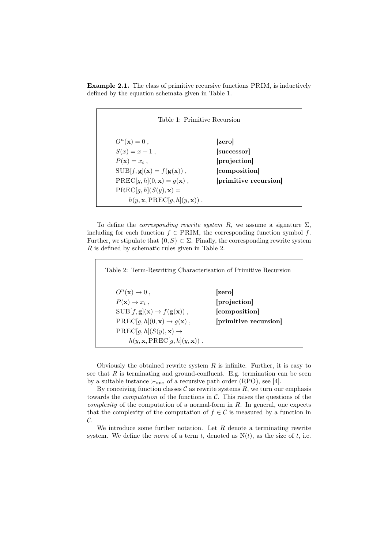Example 2.1. The class of primitive recursive functions PRIM, is inductively defined by the equation schemata given in Table 1.

| Table 1: Primitive Recursion                           |                       |
|--------------------------------------------------------|-----------------------|
| $O^n(\mathbf{x})=0$ ,                                  | zero                  |
| $S(x) = x + 1$ ,                                       | successor             |
| $P(\mathbf{x}) = x_i$ ,                                | projection            |
| $SUB[f, g](\mathbf{x}) = f(g(\mathbf{x})),$            | [composition]         |
| $PREC[g, h](0, \mathbf{x}) = g(\mathbf{x}),$           | [primitive recursion] |
| $\text{PREC}[g, h](S(y), \mathbf{x}) =$                |                       |
| $h(y, \mathbf{x}, \text{PREC}[q, h](y, \mathbf{x}))$ . |                       |

To define the *corresponding rewrite system R*, we assume a signature  $\Sigma$ . including for each function  $f \in PRIM$ , the corresponding function symbol f. Further, we stipulate that  $\{0, S\} \subset \Sigma$ . Finally, the corresponding rewrite system R is defined by schematic rules given in Table 2.

Table 2: Term-Rewriting Characterisation of Primitive Recursion  $O^n(\mathbf{x}) \to 0$ , [zero]  $P(\mathbf{x}) \to x_i$ , [projection]  $SUB[f, g](\mathbf{x}) \rightarrow f(g(\mathbf{x}))$ , [composition]  $PREC[g, h](0, x) \rightarrow g(x)$ , [primitive recursion]  $PREC[g, h](S(y), \mathbf{x}) \rightarrow$  $h(y, \mathbf{x}, \text{PREC}[g, h](y, \mathbf{x}))$ .

Obviously the obtained rewrite system  $R$  is infinite. Further, it is easy to see that  $R$  is terminating and ground-confluent. E.g. termination can be seen by a suitable instance  $\succ_{\text{RPO}}$  of a recursive path order (RPO), see [4].

By conceiving function classes  $\mathcal C$  as rewrite systems  $R$ , we turn our emphasis towards the *computation* of the functions in  $C$ . This raises the questions of the *complexity* of the computation of a normal-form in  $R$ . In general, one expects that the complexity of the computation of  $f \in \mathcal{C}$  is measured by a function in  $\mathcal{C}.$ 

We introduce some further notation. Let  $R$  denote a terminating rewrite system. We define the *norm* of a term t, denoted as  $N(t)$ , as the size of t, i.e.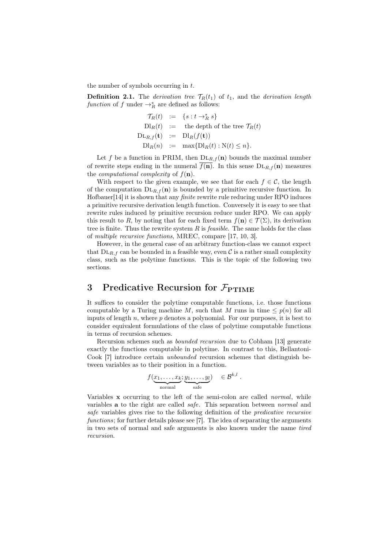the number of symbols occurring in  $t$ .

**Definition 2.1.** The derivation tree  $\mathcal{T}_R(t_1)$  of  $t_1$ , and the derivation length function of f under  $\rightarrow_R^*$  are defined as follows:

$$
\begin{array}{rcl}\n\mathcal{T}_R(t) & := & \{s : t \to_R^* s\} \\
\text{Dl}_R(t) & := & \text{the depth of the tree } \mathcal{T}_R(t) \\
\text{DL}_{R,f}(\mathbf{t}) & := & \text{Dl}_R(f(\mathbf{t})) \\
\text{Dl}_R(n) & := & \max\{\text{Dl}_R(t) : \text{N}(t) \le n\}.\n\end{array}
$$

Let f be a function in PRIM, then  $DL_{R,f}(n)$  bounds the maximal number of rewrite steps ending in the numeral  $f(\mathbf{n})$ . In this sense  $\text{DL}_{R,f}(\mathbf{n})$  measures the *computational complexity* of  $f(\mathbf{n})$ .

With respect to the given example, we see that for each  $f \in \mathcal{C}$ , the length of the computation  $DL_{R,f}(n)$  is bounded by a primitive recursive function. In Hofbauer<sup>[14]</sup> it is shown that any *finite* rewrite rule reducing under RPO induces a primitive recursive derivation length function. Conversely it is easy to see that rewrite rules induced by primitive recursion reduce under RPO. We can apply this result to R, by noting that for each fixed term  $f(n) \in \mathcal{T}(\Sigma)$ , its derivation tree is finite. Thus the rewrite system  $R$  is *feasible*. The same holds for the class of multiple recursive functions, MREC, compare [17, 10, 3].

However, in the general case of an arbitrary function-class we cannot expect that  $DL_{R,f}$  can be bounded in a feasible way, even C is a rather small complexity class, such as the polytime functions. This is the topic of the following two sections.

## 3 Predicative Recursion for  $\mathcal{F}_{\text{PTIME}}$

It suffices to consider the polytime computable functions, i.e. those functions computable by a Turing machine M, such that M runs in time  $\leq p(n)$  for all inputs of length n, where  $p$  denotes a polynomial. For our purposes, it is best to consider equivalent formulations of the class of polytime computable functions in terms of recursion schemes.

Recursion schemes such as bounded recursion due to Cobham [13] generate exactly the functions computable in polytime. In contrast to this, Bellantoni-Cook [7] introduce certain unbounded recursion schemes that distinguish between variables as to their position in a function.

$$
f(\underbrace{x_1,\ldots,x_k}_{\text{normal}},\underbrace{y_1,\ldots,y_l}_{\text{safe}}) \in \mathcal{B}^{k,l} .
$$

Variables x occurring to the left of the semi-colon are called *normal*, while variables a to the right are called safe. This separation between normal and safe variables gives rise to the following definition of the predicative recursive functions; for further details please see [7]. The idea of separating the arguments in two sets of normal and safe arguments is also known under the name tired recursion.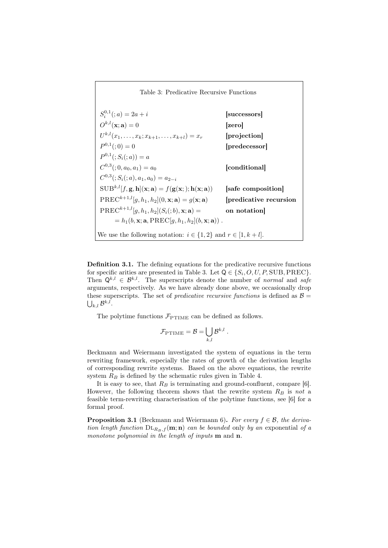Table 3: Predicative Recursive Functions  $S_i^{0,1}(; a) = 2a + i$  [successors]  $O^{k,l}(\mathbf{x};\mathbf{a}) = 0$  [zero]  $U^{k,l}(x_1,\ldots,x_k;x_{k+1},\ldots,x_{k+l})=x_r \qquad\qquad\textbf{[projection]}$  $P^{0,1}$ [predecessor]  $P^{0,1}(;S_i(:,a)) = a$  $C^{0,3}(:,0,a_0,a_1)=a_0 \qquad \qquad \qquad \qquad \qquad \qquad \qquad \qquad \textbf{[conditional]}$  $C^{0,3}$  $(; S_i$  $(; a), a_1, a_0) = a_{2-i}$  $SUB^{k,l}[f, g, h](x; a) = f(g(x;); h(x; a))$  [safe composition]  $PREC^{k+1,l}[g, h_1, h_2](0, \mathbf{x}; \mathbf{a}) = g(\mathbf{x}; \mathbf{a})$  [predicative recursion  $\text{PREC}^{k+1,l}[g, h_1, h_2](S_i(:,b), \mathbf{x}; \mathbf{a}) =$  on notation]  $= h_1(b, \mathbf{x}; \mathbf{a}, \text{PREC}[q, h_1, h_2](b, \mathbf{x}; \mathbf{a}))$ . We use the following notation:  $i \in \{1,2\}$  and  $r \in [1, k+l]$ .

Definition 3.1. The defining equations for the predicative recursive functions for specific arities are presented in Table 3. Let  $Q \in \{S_i, O, U, P, \text{SUB}, \text{PREC}\}.$ Then  $\mathbf{Q}^{k,l} \in \mathcal{B}^{k,l}$ . The superscripts denote the number of normal and safe arguments, respectively. As we have already done above, we occasionally drop these superscripts. The set of *predicative recursive functions* is defined as  $\mathcal{B} =$  $\bigcup_{k,l}\mathcal{B}^{k,l}.$ 

The polytime functions  $\mathcal{F}_{\text{PTIME}}$  can be defined as follows.

$$
\mathcal{F}_{\mathrm{PTIME}} = \mathcal{B} = \bigcup_{k,l} \mathcal{B}^{k,l}.
$$

Beckmann and Weiermann investigated the system of equations in the term rewriting framework, especially the rates of growth of the derivation lengths of corresponding rewrite systems. Based on the above equations, the rewrite system  $R_B$  is defined by the schematic rules given in Table 4.

It is easy to see, that  $R_B$  is terminating and ground-confluent, compare [6]. However, the following theorem shows that the rewrite system  $R_B$  is not a feasible term-rewriting characterisation of the polytime functions, see [6] for a formal proof.

**Proposition 3.1** (Beckmann and Weiermann 6). For every  $f \in \mathcal{B}$ , the derivation length function  $DL_{R_B,f}$  (m; n) can be bounded only by an exponential of a monotone polynomial in the length of inputs **m** and **n**.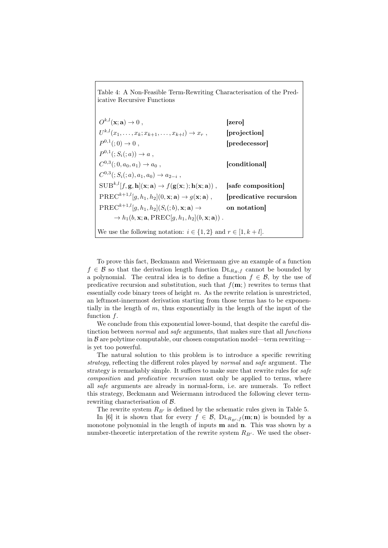Table 4: A Non-Feasible Term-Rewriting Characterisation of the Predicative Recursive Functions

 $O^{k,l}(\mathbf{x};\mathbf{a}) \to 0$ , [zero]  $U^{k,l}(x_1,\ldots,x_k;x_{k+1},\ldots,x_{k+l})\to x_r\;, \qquad\qquad\textbf{[projection]}$  $P^{0,1}$  $[predecessor]$  $P^{0,1}((;S_i(:,a)) \to a,$  $C^{0,3}(:,0,a_0,a_1) \rightarrow a_0$ , [conditional]  $C^{0,3}$  $(; S_i(; a), a_1, a_0) \rightarrow a_{2-i}$  $SUB^{k,l}[f, g, h](x; a) \rightarrow f(g(x;); h(x; a))$ , [safe composition]  $\text{PREC}^{k+1,l}[g, h_1, h_2](0, \mathbf{x}; \mathbf{a}) \rightarrow g(\mathbf{x}; \mathbf{a})$ , [predicative recursion  $\text{PREC}^{k+1,l}[g, h_1, h_2](S_i(;b), \mathbf{x}; \mathbf{a}) \rightarrow \text{on notation}$  $\rightarrow h_1(b, \mathbf{x}; \mathbf{a}, \text{PREC}[q, h_1, h_2](b, \mathbf{x}; \mathbf{a}))$ . We use the following notation:  $i \in \{1,2\}$  and  $r \in [1, k+l]$ .

To prove this fact, Beckmann and Weiermann give an example of a function  $f \in \mathcal{B}$  so that the derivation length function  $\text{DL}_{R_B,f}$  cannot be bounded by a polynomial. The central idea is to define a function  $f \in \mathcal{B}$ , by the use of predicative recursion and substitution, such that  $f(\mathbf{m})$  rewrites to terms that essentially code binary trees of height m. As the rewrite relation is unrestricted, an leftmost-innermost derivation starting from those terms has to be exponentially in the length of m, thus exponentially in the length of the input of the function f.

We conclude from this exponential lower-bound, that despite the careful distinction between normal and safe arguments, that makes sure that all functions in  $\beta$  are polytime computable, our chosen computation model—term rewriting is yet too powerful.

The natural solution to this problem is to introduce a specific rewriting strategy, reflecting the different roles played by normal and safe argument. The strategy is remarkably simple. It suffices to make sure that rewrite rules for safe composition and predicative recursion must only be applied to terms, where all safe arguments are already in normal-form, i.e. are numerals. To reflect this strategy, Beckmann and Weiermann introduced the following clever termrewriting characterisation of B.

The rewrite system  $R_{B'}$  is defined by the schematic rules given in Table 5.

In [6] it is shown that for every  $f \in \mathcal{B}$ ,  $DL_{R_{PL},f}(\mathbf{m};\mathbf{n})$  is bounded by a monotone polynomial in the length of inputs m and n. This was shown by a number-theoretic interpretation of the rewrite system  $R_{B'}$ . We used the obser-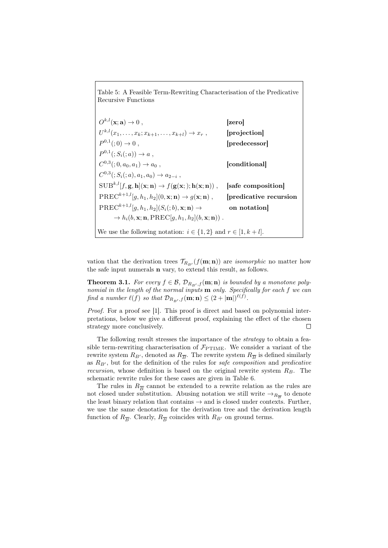Table 5: A Feasible Term-Rewriting Characterisation of the Predicative Recursive Functions

 $O^{k,l}(\mathbf{x};\mathbf{a}) \to 0$ , [zero]  $U^{k,l}(x_1,\ldots,x_k;x_{k+1},\ldots,x_{k+l})\to x_r$ , [projection]  $P^{0,1}$  $[predecessor]$  $P^{0,1}((;S_i(:,a)) \to a,$  $C^{0,3}(:,0,a_0,a_1) \rightarrow a_0$ , [conditional]  $C^{0,3}$  $(; S_i(; a), a_1, a_0) \rightarrow a_{2-i}$  $SUB^{k,l}[f, g, h](x; n) \rightarrow f(g(x;); h(x; n))$ , [safe composition]  $\text{PREC}^{k+1,l}[g, h_1, h_2](0, \mathbf{x}; \mathbf{n}) \rightarrow g(\mathbf{x}; \mathbf{n})$ , [predicative recursion  $\text{PREC}^{k+1,l}[g, h_1, h_2](S_i(;b), \mathbf{x}; \mathbf{n}) \rightarrow \text{on notation}$  $\rightarrow h_i(b, \mathbf{x}; \mathbf{n}, \text{PREC}[q, h_1, h_2](b, \mathbf{x}; \mathbf{n}))$ . We use the following notation:  $i \in \{1,2\}$  and  $r \in [1, k+l]$ .

vation that the derivation trees  $\mathcal{T}_{R_{B}}(f(\mathbf{m}; \mathbf{n}))$  are *isomorphic* no matter how the safe input numerals n vary, to extend this result, as follows.

**Theorem 3.1.** For every  $f \in \mathcal{B}$ ,  $\mathcal{D}_{R_{PL},f}(\mathbf{m}; \mathbf{n})$  is bounded by a monotone polynomial in the length of the normal inputs  $\mathbf m$  only. Specifically for each  $f$  we can find a number  $\ell(f)$  so that  $\mathcal{D}_{R_{B'},f}(\mathbf{m}; \mathbf{n}) \leq (2 + |\mathbf{m}|)^{\ell(f)}$ .

Proof. For a proof see [1]. This proof is direct and based on polynomial interpretations, below we give a different proof, explaining the effect of the chosen strategy more conclusively.  $\Box$ 

The following result stresses the importance of the strategy to obtain a feasible term-rewriting characterisation of  $\mathcal{F}_{\text{PTIME}}$ . We consider a variant of the rewrite system  $R_{B'}$ , denoted as  $R_{\overline{B}}$ . The rewrite system  $R_{\overline{B}}$  is defined similarly as  $R_{B'}$ , but for the definition of the rules for safe composition and predicative recursion, whose definition is based on the original rewrite system  $R_B$ . The schematic rewrite rules for these cases are given in Table 6.

The rules in  $R_{\overline{B}}$  cannot be extended to a rewrite relation as the rules are not closed under substitution. Abusing notation we still write  $\rightarrow_{R_{\overline{B}}}$  to denote the least binary relation that contains  $\rightarrow$  and is closed under contexts. Further, we use the same denotation for the derivation tree and the derivation length function of  $R_{\overline{B}}$ . Clearly,  $R_{\overline{B}}$  coincides with  $R_{B'}$  on ground terms.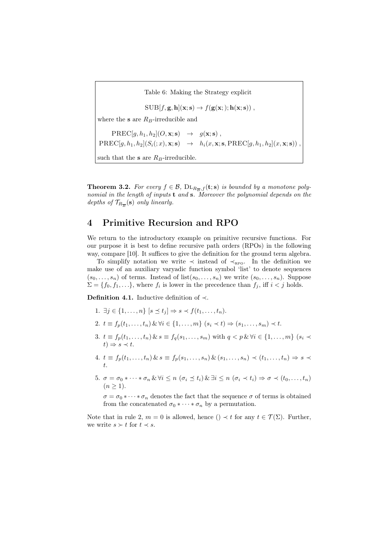Table 6: Making the Strategy explicit

 $SUB[f, g, h](\mathbf{x}; s) \rightarrow f(g(\mathbf{x};)); h(\mathbf{x}; s))$ ,

where the s are  $R_B$ -irreducible and

 $PREC[a, h_1, h_2](O, \mathbf{x}; \mathbf{s}) \rightarrow q(\mathbf{x}; \mathbf{s}).$  $PREC[g, h_1, h_2](S_i(:, x), x; s) \rightarrow h_i(x, x; s, PREC[g, h_1, h_2](x, x; s))$ such that the **s** are  $R_B$ -irreducible.

**Theorem 3.2.** For every  $f \in \mathcal{B}$ ,  $DL_{R_{\overline{B}},f}(\mathbf{t};\mathbf{s})$  is bounded by a monotone polynomial in the length of inputs **t** and **s**. Moreover the polynomial depends on the depths of  $\mathcal{T}_{R_{\overline{B}}}(\mathbf{s})$  only linearly.

## 4 Primitive Recursion and RPO

We return to the introductory example on primitive recursive functions. For our purpose it is best to define recursive path orders (RPOs) in the following way, compare [10]. It suffices to give the definition for the ground term algebra.

To simplify notation we write  $\prec$  instead of  $\prec_{\text{RPO}}$ . In the definition we make use of an auxiliary varyadic function symbol 'list' to denote sequences  $(s_0, \ldots, s_n)$  of terms. Instead of list $(s_0, \ldots, s_n)$  we write  $(s_0, \ldots, s_n)$ . Suppose  $\Sigma = \{f_0, f_1, \ldots\}$ , where  $f_i$  is lower in the precedence than  $f_j$ , iff  $i < j$  holds.

**Definition 4.1.** Inductive definition of  $\prec$ .

- 1.  $\exists i \in \{1, \ldots, n\} \ [s \prec t_i] \Rightarrow s \prec f(t_1, \ldots, t_n).$
- 2.  $t \equiv f_p(t_1, ..., t_n) \& \forall i \in \{1, ..., m\} \ (s_i \prec t) \Rightarrow (s_1, ..., s_m) \prec t.$
- 3.  $t \equiv f_p(t_1, ..., t_n)$   $\& s \equiv f_q(s_1, ..., s_m)$  with  $q < p$   $\& \forall i \in \{1, ..., m\}$   $(s_i \prec$  $t) \Rightarrow s \prec t.$
- 4.  $t \equiv f_p(t_1, ..., t_n) \& s \equiv f_p(s_1, ..., s_n) \& (s_1, ..., s_n) \prec (t_1, ..., t_n) \Rightarrow s \prec$ t.
- 5.  $\sigma = \sigma_0 * \cdots * \sigma_n \& \forall i \leq n \ (\sigma_i \preceq t_i) \& \exists i \leq n \ (\sigma_i \prec t_i) \Rightarrow \sigma \prec (t_0, \ldots, t_n)$  $(n \geq 1)$ .

 $\sigma = \sigma_0 * \cdots * \sigma_n$  denotes the fact that the sequence  $\sigma$  of terms is obtained from the concatenated  $\sigma_0 * \cdots * \sigma_n$  by a permutation.

Note that in rule 2,  $m = 0$  is allowed, hence ()  $\prec t$  for any  $t \in \mathcal{T}(\Sigma)$ . Further, we write  $s \succ t$  for  $t \prec s$ .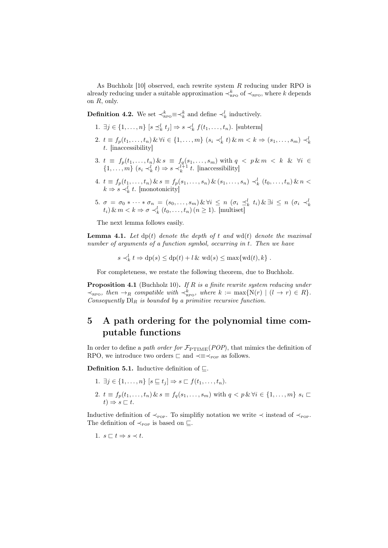As Buchholz  $[10]$  observed, each rewrite system R reducing under RPO is already reducing under a suitable approximation  $\prec_{\text{RPO}}^k$  of  $\prec_{\text{RPO}}$ , where k depends on R, only.

**Definition 4.2.** We set  $\prec_{\text{RPO}}^k \equiv \prec_k^k$  and define  $\prec_k^l$  inductively.

- 1.  $\exists j \in \{1, ..., n\} \ [s \preceq_k^l t_j] \Rightarrow s \prec_k^l f(t_1, ..., t_n)$ . [subterm]
- 2.  $t \equiv f_p(t_1, ..., t_n) \& \forall i \in \{1, ..., m\} \ (s_i \prec_k^l t) \& m \prec k \Rightarrow (s_1, ..., s_m) \prec_k^l$ t. [inaccessibility]
- 3.  $t \equiv f_p(t_1,\ldots,t_n) \& s \equiv f_q(s_1,\ldots,s_m)$  with  $q \langle p \& m \langle k \& \forall i \in$  $\{1, \ldots, m\}$   $(s_i \prec_k^l t) \Rightarrow s \prec_k^{l+1} t$ . [inaccessibility]
- 4.  $t \equiv f_p(t_1, ..., t_n) \& s \equiv f_p(s_1, ..., s_n) \& (s_1, ..., s_n) \prec_k^l (t_0, ..., t_n) \& n <$  $k \Rightarrow s \prec_k^l t$ . [monotonicity]
- 5.  $\sigma = \sigma_0 * \cdots * \sigma_n = (s_0, \ldots, s_m) \& \forall i \leq n \ (\sigma_i \preceq_k^l t_i) \& \exists i \leq n \ (\sigma_i \preceq_k^l t_i) \& \sigma_i$ <br>  $t_i) \& m \lt k \Rightarrow \sigma \preceq_k^l (t_0, \ldots, t_n) \ (n \geq 1).$  [multiset]

The next lemma follows easily.

**Lemma 4.1.** Let  $dp(t)$  denote the depth of t and wd(t) denote the maximal number of arguments of a function symbol, occurring in t. Then we have

 $s \prec_k^l t \Rightarrow dp(s) \le dp(t) + l \& \text{wd}(s) \le \max\{\text{wd}(t), k\}.$ 

For completeness, we restate the following theorem, due to Buchholz.

**Proposition 4.1** (Buchholz 10). If  $R$  is a finite rewrite system reducing under  $\prec_{\text{RPO}}$ , then  $\rightarrow_R$  compatible with  $\prec_{\text{RPO}}^k$ , where  $k := \max\{N(r) \mid (l \rightarrow r) \in R\}.$ Consequently  $Dl_R$  is bounded by a primitive recursive function.

## 5 A path ordering for the polynomial time computable functions

In order to define a path order for  $\mathcal{F}_{\mathrm{PTIME}}(POP)$ , that mimics the definition of RPO, we introduce two orders  $\Box$  and  $\prec \equiv \prec_{\text{pop}}$  as follows.

**Definition 5.1.** Inductive definition of  $\Box$ .

- 1.  $\exists i \in \{1, \ldots, n\}$   $[s \sqsubset t_i] \Rightarrow s \sqsubset f(t_1, \ldots, t_n).$
- 2.  $t \equiv f_p(t_1, ..., t_n) \& s \equiv f_q(s_1, ..., s_m)$  with  $q < p \& \forall i \in \{1, ..., m\}$   $s_i \sqsubset$  $t) \Rightarrow s \sqsubset t.$

Inductive definition of  $\prec_{\text{pop}}$ . To simplifiy notation we write  $\prec$  instead of  $\prec_{\text{pop}}$ . The definition of  $\prec_{\text{pop}}$  is based on  $\sqsubseteq$ .

1. 
$$
s \sqsubset t \Rightarrow s \prec t
$$
.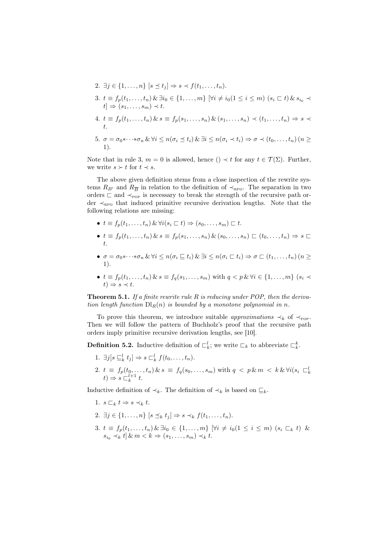2. 
$$
\exists j \in \{1, \ldots, n\} \ [s \preceq t_j] \Rightarrow s \prec f(t_1, \ldots, t_n).
$$

- 3.  $t \equiv f_p(t_1, \ldots, t_n) \& \exists i_0 \in \{1, \ldots, m\} \forall i \neq i_0 (1 \leq i \leq m)$   $(s_i \sqsubset t) \& s_{i_0} \prec$  $t \Rightarrow (s_1, \ldots, s_m) \prec t.$
- 4.  $t \equiv f_p(t_1, ..., t_n) \& s \equiv f_p(s_1, ..., s_n) \& (s_1, ..., s_n) \prec (t_1, ..., t_n) \Rightarrow s \prec$ t.
- 5.  $\sigma = \sigma_0 * \cdots * \sigma_n \& \forall i \leq n(\sigma_i \leq t_i) \& \exists i \leq n(\sigma_i \leq t_i) \Rightarrow \sigma \leq (t_0, \ldots, t_n)$  (*n* > 1).

Note that in rule 3,  $m = 0$  is allowed, hence  $() \prec t$  for any  $t \in \mathcal{T}(\Sigma)$ . Further, we write  $s \succ t$  for  $t \prec s$ .

The above given definition stems from a close inspection of the rewrite systems  $R_{B'}$  and  $R_{\overline{B}}$  in relation to the definition of  $\prec_{\text{RPO}}$ . The separation in two orders  $\sqsubset$  and  $\prec_{\text{pop}}$  is necessary to break the strength of the recursive path order  $\prec_{\text{RPO}}$  that induced primitive recursive derivation lengths. Note that the following relations are missing:

- $t \equiv f_n(t_1, \ldots, t_n) \& \forall i (s_i \sqsubset t) \Rightarrow (s_0, \ldots, s_m) \sqsubset t.$
- $t \equiv f_p(t_1, ..., t_n)$   $\&$   $s \equiv f_p(s_1, ..., s_n)$   $\&$   $(s_0, ..., s_n)$   $\sqsubset (t_0, ..., t_n) \Rightarrow s \sqsubset$ t.
- $\sigma = \sigma_0 * \cdots * \sigma_n \& \forall i \leq n (\sigma_i \sqsubset t_i) \& \exists i \leq n (\sigma_i \sqsubset t_i) \Rightarrow \sigma \sqsubset (t_1, \ldots, t_n)$  ( $n \geq 0$ 1).
- $t \equiv f_p(t_1, ..., t_n) \& s \equiv f_q(s_1, ..., s_m)$  with  $q < p \& \forall i \in \{1, ..., m\}$   $(s_i \prec$  $t) \Rightarrow s \prec t.$

**Theorem 5.1.** If a finite rewrite rule R is reducing under POP, then the derivation length function  $Dl_R(n)$  is bounded by a monotone polynomial in n.

To prove this theorem, we introduce suitable *approximations*  $\prec_k$  of  $\prec_{\text{pop}}$ . Then we will follow the pattern of Buchholz's proof that the recursive path orders imply primitive recursive derivation lengths, see [10].

**Definition 5.2.** Inductive definition of  $\mathcal{L}_k^l$ ; we write  $\mathcal{L}_k$  to abbreviate  $\mathcal{L}_k^k$ .

- 1.  $\exists j[s \sqsubseteq_k^l t_j] \Rightarrow s \sqsubset_k^l f(t_0, \ldots, t_n).$
- 2.  $t \equiv f_p(t_0, \ldots, t_n) \& s \equiv f_q(s_0, \ldots, s_m)$  with  $q < p \& m < k \& \forall i (s_i \subset_k^l t) \Rightarrow s \subset_k^{l+1} t$ .

Inductive definition of  $\prec_k$ . The definition of  $\prec_k$  is based on  $\sqsubseteq_k$ .

- 1.  $s \sqsubset_k t \Rightarrow s \prec_k t$ .
- 2.  $\exists i \in \{1, \ldots, n\} \ [s \prec_k t_i] \Rightarrow s \prec_k f(t_1, \ldots, t_n).$
- 3.  $t \equiv f_p(t_1, \ldots, t_n) \& \exists i_0 \in \{1, \ldots, m\} \; [\forall i \neq i_0 (1 \leq i \leq m) \; (s_i \sqsubset_k t) \; \& \;$  $s_{i_0} \prec_k t \, \& \, m \prec k \Rightarrow (s_1, \ldots, s_m) \prec_k t.$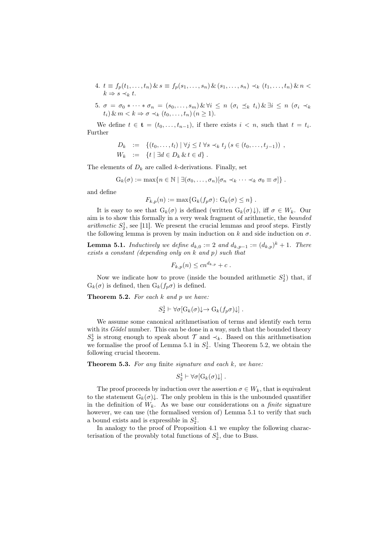4. 
$$
t \equiv f_p(t_1, \ldots, t_n) \& s \equiv f_p(s_1, \ldots, s_n) \& (s_1, \ldots, s_n) \prec_k (t_1, \ldots, t_n) \& n \prec_k \Rightarrow s \prec_k t.
$$

5. 
$$
\sigma = \sigma_0 * \cdots * \sigma_n = (s_0, \ldots, s_m) \& \forall i \leq n \ (\sigma_i \preceq_k t_i) \& \exists i \leq n \ (\sigma_i \prec_k t_i) \& m < k \Rightarrow \sigma \prec_k (t_0, \ldots, t_n) \ (n \geq 1).
$$

We define  $t \in \mathbf{t} = (t_0, \ldots, t_{n-1})$ , if there exists  $i < n$ , such that  $t = t_i$ . Further

$$
D_k := \{ (t_0, ..., t_l) \mid \forall j \leq l \; \forall s \prec_k t_j (s \in (t_0, ..., t_{j-1})) , W_k := \{ t \mid \exists d \in D_k \& t \in d \} .
$$

The elements of  $D_k$  are called k-derivations. Finally, set

$$
G_k(\sigma) := \max\{n \in \mathbb{N} \mid \exists (\sigma_0, \ldots, \sigma_n)[\sigma_n \prec_k \cdots \prec_k \sigma_0 \equiv \sigma]\}.
$$

and define

$$
F_{k,p}(n) := \max\{G_k(f_p\sigma): G_k(\sigma) \leq n\}.
$$

It is easy to see that  $G_k(\sigma)$  is defined (written  $G_k(\sigma)\downarrow$ ), iff  $\sigma \in W_k$ . Our aim is to show this formally in a very weak fragment of arithmetic, the bounded arithmetic  $S_2^1$ , see [11]. We present the crucial lemmas and proof steps. Firstly the following lemma is proven by main induction on k and side induction on  $\sigma$ .

**Lemma 5.1.** Inductively we define  $d_{k,0} := 2$  and  $d_{k,p-1} := (d_{k,p})^k + 1$ . There exists a constant (depending only on k and p) such that

$$
F_{k,p}(n) \leq c n^{d_{k,p}} + c.
$$

Now we indicate how to prove (inside the bounded arithmetic  $S_2^1$ ) that, if  $G_k(\sigma)$  is defined, then  $G_k(f_p\sigma)$  is defined.

**Theorem 5.2.** For each  $k$  and  $p$  we have:

$$
S_2^1 \vdash \forall \sigma [G_k(\sigma) \downarrow \rightarrow G_k(f_p \sigma) \downarrow] .
$$

We assume some canonical arithmetisation of terms and identify each term with its Gödel number. This can be done in a way, such that the bounded theory  $S_2^1$  is strong enough to speak about  $\mathcal T$  and  $\prec_k$ . Based on this arithmetisation we formalise the proof of Lemma 5.1 in  $S_2^1$ . Using Theorem 5.2, we obtain the following crucial theorem.

**Theorem 5.3.** For any finite signature and each  $k$ , we have:

$$
S_2^1 \vdash \forall \sigma [G_k(\sigma)\downarrow] .
$$

The proof proceeds by induction over the assertion  $\sigma \in W_k$ , that is equivalent to the statement  $G_k(\sigma)\downarrow$ . The only problem in this is the unbounded quantifier in the definition of  $W_k$ . As we base our considerations on a *finite* signature however, we can use (the formalised version of) Lemma 5.1 to verify that such a bound exists and is expressible in  $S_2^1$ .

In analogy to the proof of Proposition 4.1 we employ the following characterisation of the provably total functions of  $S_2^1$ , due to Buss.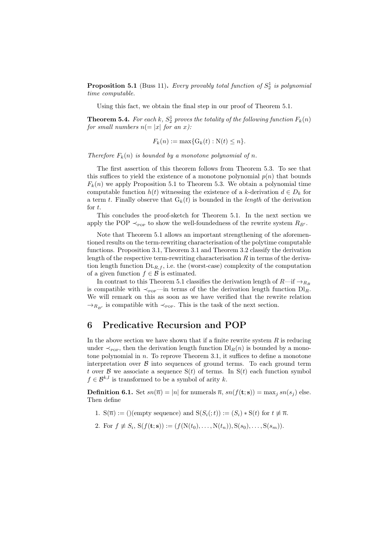**Proposition 5.1** (Buss 11). Every provably total function of  $S_2^1$  is polynomial time computable.

Using this fact, we obtain the final step in our proof of Theorem 5.1.

**Theorem 5.4.** For each k,  $S_2^1$  proves the totality of the following function  $F_k(n)$ for small numbers  $n (= |x|$  for an x):

$$
F_k(n) := \max\{G_k(t) : N(t) \le n\}.
$$

Therefore  $F_k(n)$  is bounded by a monotone polynomial of n.

The first assertion of this theorem follows from Theorem 5.3. To see that this suffices to yield the existence of a monotone polynomial  $p(n)$  that bounds  $F_k(n)$  we apply Proposition 5.1 to Theorem 5.3. We obtain a polynomial time computable function  $h(t)$  witnessing the existence of a k-derivation  $d \in D_k$  for a term t. Finally observe that  $G_k(t)$  is bounded in the *length* of the derivation for t.

This concludes the proof-sketch for Theorem 5.1. In the next section we apply the POP  $\prec_{\text{pop}}$  to show the well-foundedness of the rewrite system  $R_{B'}$ .

Note that Theorem 5.1 allows an important strengthening of the aforementioned results on the term-rewriting characterisation of the polytime computable functions. Proposition 3.1, Theorem 3.1 and Theorem 3.2 classify the derivation length of the respective term-rewriting characterisation  $R$  in terms of the derivation length function  $DL_{R,f}$ , i.e. the (worst-case) complexity of the computation of a given function  $f \in \mathcal{B}$  is estimated.

In contrast to this Theorem 5.1 classifies the derivation length of  $R$ —if  $\rightarrow$ <sub>R<sub>B</sub></sub> is compatible with  $\prec_{\text{pop}}$ —in terms of the the derivation length function  $Dl_R$ . We will remark on this as soon as we have verified that the rewrite relation  $\rightarrow_{R_{B'}}$  is compatible with  $\prec_{\text{pop}}$ . This is the task of the next section.

## 6 Predicative Recursion and POP

In the above section we have shown that if a finite rewrite system  $R$  is reducing under  $\prec_{\text{pop}}$ , then the derivation length function  $D_R(n)$  is bounded by a monotone polynomial in  $n$ . To reprove Theorem 3.1, it suffices to define a monotone interpretation over  $\beta$  into sequences of ground terms. To each ground term t over B we associate a sequence  $S(t)$  of terms. In  $S(t)$  each function symbol  $f \in \mathcal{B}^{k,l}$  is transformed to be a symbol of arity k.

**Definition 6.1.** Set  $sn(\overline{n}) = |n|$  for numerals  $\overline{n}$ ,  $sn(f(\mathbf{t}; \mathbf{s})) = \max_i sn(s_i)$  else. Then define

- 1.  $S(\overline{n}) := ()$ (empty sequence) and  $S(S_i(:, t)) := (S_i) * S(t)$  for  $t \neq \overline{n}$ .
- 2. For  $f \neq S_i$ ,  $S(f(t; s)) := (f(N(t_0), \ldots, N(t_n)), S(s_0), \ldots, S(s_m)).$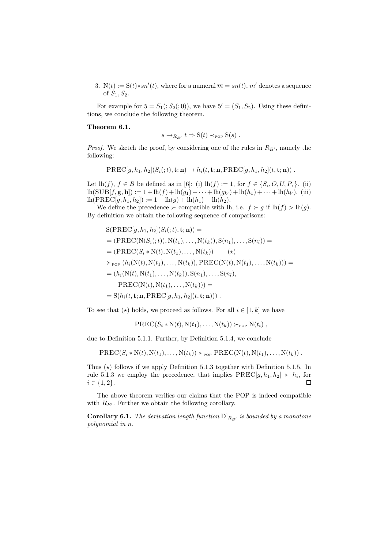3. N(t) := S(t)\*sn'(t), where for a numeral  $\overline{m} = sn(t)$ , m' denotes a sequence of  $S_1, S_2$ .

For example for  $5 = S_1( ; S_2( ; 0))$ , we have  $5' = (S_1, S_2)$ . Using these definitions, we conclude the following theorem.

#### Theorem 6.1.

$$
\rightarrow_{R_{\rm B'}} t \Rightarrow S(t) \prec_{\rm POP} S(s) .
$$

*Proof.* We sketch the proof, by considering one of the rules in  $R_{B'}$ , namely the following:

 $\overline{s}$ 

$$
\textrm{PREC}[g, h_1, h_2](S_i(:,t); \mathbf{n}) \rightarrow h_i(t, \mathbf{t}; \mathbf{n}, \textrm{PREC}[g, h_1, h_2](t, \mathbf{t}; \mathbf{n}))\;.
$$

Let  $\text{lh}(f), f \in B$  be defined as in [6]: (i)  $\text{lh}(f) := 1$ , for  $f \in \{S_i, O, U, P, \}$ . (ii)  $\text{lh}(\text{SUB}[f, \mathbf{g}, \mathbf{h}]) := 1 + \text{lh}(f) + \text{lh}(g_1) + \cdots + \text{lh}(g_{k'}) + \text{lh}(h_1) + \cdots + \text{lh}(h_{l'})$ . (iii)  $\ln(PREC[g, h_1, h_2]) := 1 + \ln(g) + \ln(h_1) + \ln(h_2).$ 

We define the precedence  $\succ$  compatible with lh, i.e.  $f \succ g$  if  $lh(f) > lh(g)$ . By definition we obtain the following sequence of comparisons:

$$
S(PREC[g, h_1, h_2](S_i(:, t), t; n)) =
$$
  
= (PREC(N(S\_i(:, t)), N(t\_1), ..., N(t\_k)), S(n\_1), ..., S(n\_l)) =  
= (PREC(S\_i \* N(t), N(t\_1), ..., N(t\_k)) \t\t( $\star$ )  
 $\succ_{\text{POF}} (h_i(N(t), N(t_1), ..., N(t_k)), PREC(N(t), N(t_1), ..., N(t_k))) =$   
= (h<sub>i</sub>(N(t), N(t\_1), ..., N(t\_k)), S(n\_1), ..., S(n\_l),  
PREC(N(t), N(t\_1), ..., N(t\_k))) =  
= S(h<sub>i</sub>(t, t; n, PREC[g, h\_1, h\_2](t, t; n))).

To see that  $(\star)$  holds, we proceed as follows. For all  $i \in [1, k]$  we have

$$
\operatorname{PREC}(S_i * N(t), N(t_1), \ldots, N(t_k)) \succ_{\text{pop}} N(t_i),
$$

due to Definition 5.1.1. Further, by Definition 5.1.4, we conclude

$$
PREC(S_i * N(t), N(t_1), \ldots, N(t_k)) \succ_{\text{pop}} PREC(N(t), N(t_1), \ldots, N(t_k))
$$

Thus  $(\star)$  follows if we apply Definition 5.1.3 together with Definition 5.1.5. In rule 5.1.3 we employ the precedence, that implies  $\text{PREC}[g, h_1, h_2] \succ h_i$ , for  $i \in \{1, 2\}.$  $\Box$ 

The above theorem verifies our claims that the POP is indeed compatible with  $R_{B'}$ . Further we obtain the following corollary.

**Corollary 6.1.** The derivation length function  $\text{D1}_{R_{B'}}$  is bounded by a monotone polynomial in n.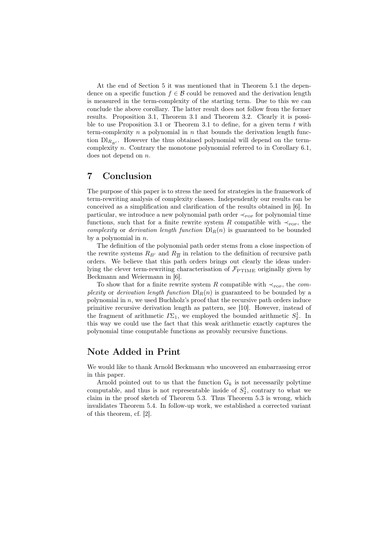At the end of Section 5 it was mentioned that in Theorem 5.1 the dependence on a specific function  $f \in \mathcal{B}$  could be removed and the derivation length is measured in the term-complexity of the starting term. Due to this we can conclude the above corollary. The latter result does not follow from the former results. Proposition 3.1, Theorem 3.1 and Theorem 3.2. Clearly it is possible to use Proposition 3.1 or Theorem 3.1 to define, for a given term  $t$  with term-complexity n a polynomial in n that bounds the derivation length function  $\text{DI}_{R_{B'}}$ . However the thus obtained polynomial will depend on the termcomplexity n. Contrary the monotone polynomial referred to in Corollary 6.1, does not depend on n.

## 7 Conclusion

The purpose of this paper is to stress the need for strategies in the framework of term-rewriting analysis of complexity classes. Independently our results can be conceived as a simplification and clarification of the results obtained in [6]. In particular, we introduce a new polynomial path order  $\prec_{\text{pop}}$  for polynomial time functions, such that for a finite rewrite system R compatible with  $\prec_{\text{pop}}$ , the complexity or derivation length function  $D_R(n)$  is guaranteed to be bounded by a polynomial in  $n$ .

The definition of the polynomial path order stems from a close inspection of the rewrite systems  $R_{B'}$  and  $R_{\overline{B}}$  in relation to the definition of recursive path orders. We believe that this path orders brings out clearly the ideas underlying the clever term-rewriting characterisation of  $\mathcal{F}_{\text{PTIME}}$  originally given by Beckmann and Weiermann in [6].

To show that for a finite rewrite system R compatible with  $\prec_{\text{pop}}$ , the complexity or derivation length function  $D_R(n)$  is guaranteed to be bounded by a polynomial in  $n$ , we used Buchholz's proof that the recursive path orders induce primitive recursive derivation length as pattern, see [10]. However, instead of the fragment of arithmetic  $I\Sigma_1$ , we employed the bounded arithmetic  $S_2^1$ . In this way we could use the fact that this weak arithmetic exactly captures the polynomial time computable functions as provably recursive functions.

## Note Added in Print

We would like to thank Arnold Beckmann who uncovered an embarrassing error in this paper.

Arnold pointed out to us that the function  $G_k$  is not necessarily polytime computable, and thus is not representable inside of  $S_2^1$ , contrary to what we claim in the proof sketch of Theorem 5.3. Thus Theorem 5.3 is wrong, which invalidates Theorem 5.4. In follow-up work, we established a corrected variant of this theorem, cf. [2].